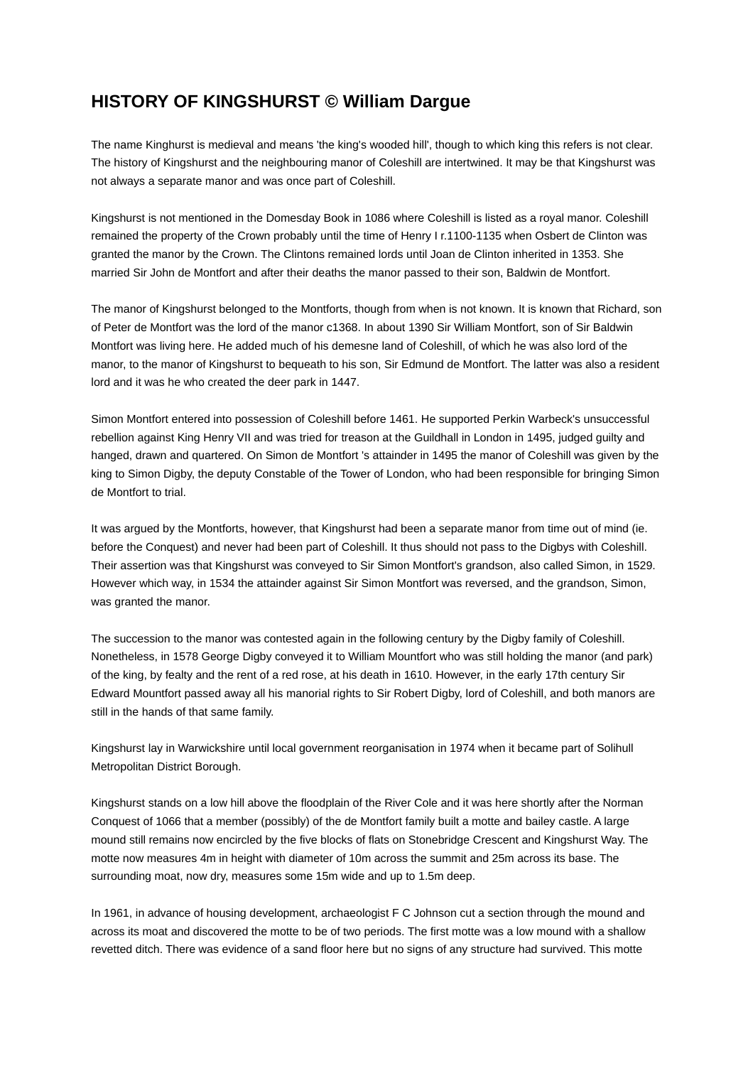## **HISTORY OF KINGSHURST © William Dargue**

The name Kinghurst is medieval and means 'the king's wooded hill', though to which king this refers is not clear. The history of Kingshurst and the neighbouring manor of Coleshill are intertwined. It may be that Kingshurst was not always a separate manor and was once part of Coleshill.

Kingshurst is not mentioned in the Domesday Book in 1086 where Coleshill is listed as a royal manor. Coleshill remained the property of the Crown probably until the time of Henry I r.1100-1135 when Osbert de Clinton was granted the manor by the Crown. The Clintons remained lords until Joan de Clinton inherited in 1353. She married Sir John de Montfort and after their deaths the manor passed to their son, Baldwin de Montfort.

The manor of Kingshurst belonged to the Montforts, though from when is not known. It is known that Richard, son of Peter de Montfort was the lord of the manor c1368. In about 1390 Sir William Montfort, son of Sir Baldwin Montfort was living here. He added much of his demesne land of Coleshill, of which he was also lord of the manor, to the manor of Kingshurst to bequeath to his son, Sir Edmund de Montfort. The latter was also a resident lord and it was he who created the deer park in 1447.

Simon Montfort entered into possession of Coleshill before 1461. He supported Perkin Warbeck's unsuccessful rebellion against King Henry VII and was tried for treason at the Guildhall in London in 1495, judged guilty and hanged, drawn and quartered. On Simon de Montfort 's attainder in 1495 the manor of Coleshill was given by the king to Simon Digby, the deputy Constable of the Tower of London, who had been responsible for bringing Simon de Montfort to trial.

It was argued by the Montforts, however, that Kingshurst had been a separate manor from time out of mind (ie. before the Conquest) and never had been part of Coleshill. It thus should not pass to the Digbys with Coleshill. Their assertion was that Kingshurst was conveyed to Sir Simon Montfort's grandson, also called Simon, in 1529. However which way, in 1534 the attainder against Sir Simon Montfort was reversed, and the grandson, Simon, was granted the manor.

The succession to the manor was contested again in the following century by the Digby family of Coleshill. Nonetheless, in 1578 George Digby conveyed it to William Mountfort who was still holding the manor (and park) of the king, by fealty and the rent of a red rose, at his death in 1610. However, in the early 17th century Sir Edward Mountfort passed away all his manorial rights to Sir Robert Digby, lord of Coleshill, and both manors are still in the hands of that same family.

Kingshurst lay in Warwickshire until local government reorganisation in 1974 when it became part of Solihull Metropolitan District Borough.

Kingshurst stands on a low hill above the floodplain of the River Cole and it was here shortly after the Norman Conquest of 1066 that a member (possibly) of the de Montfort family built a motte and bailey castle. A large mound still remains now encircled by the five blocks of flats on Stonebridge Crescent and Kingshurst Way. The motte now measures 4m in height with diameter of 10m across the summit and 25m across its base. The surrounding moat, now dry, measures some 15m wide and up to 1.5m deep.

In 1961, in advance of housing development, archaeologist F C Johnson cut a section through the mound and across its moat and discovered the motte to be of two periods. The first motte was a low mound with a shallow revetted ditch. There was evidence of a sand floor here but no signs of any structure had survived. This motte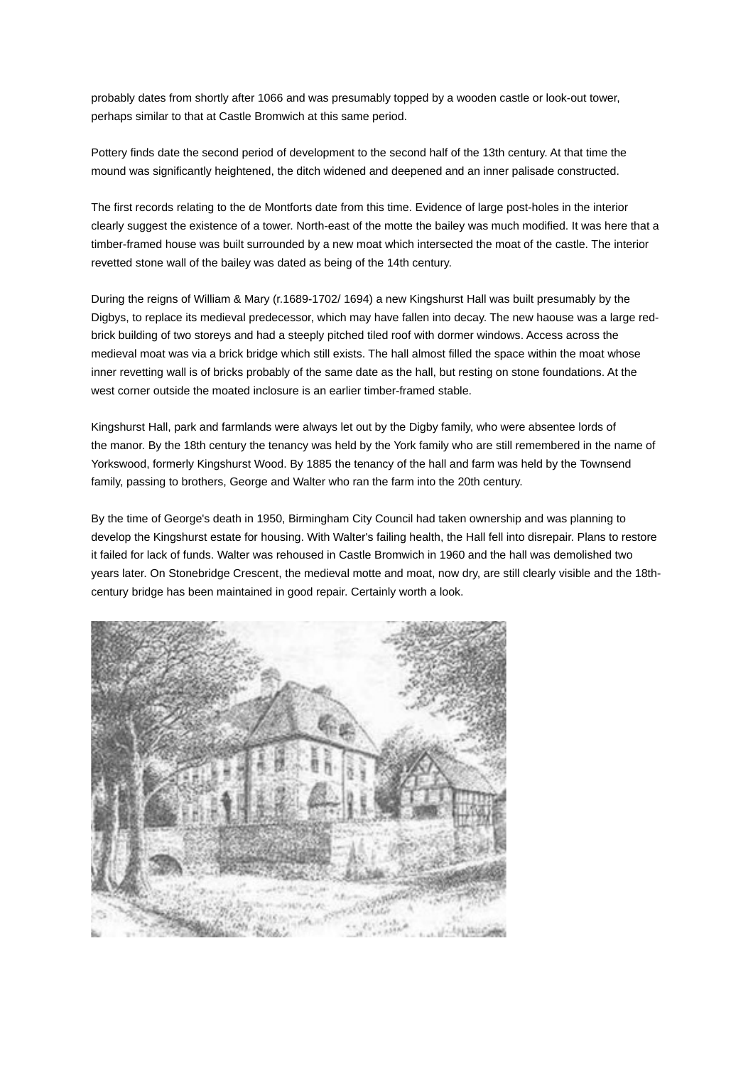probably dates from shortly after 1066 and was presumably topped by a wooden castle or look-out tower, perhaps similar to that at Castle Bromwich at this same period.

Pottery finds date the second period of development to the second half of the 13th century. At that time the mound was significantly heightened, the ditch widened and deepened and an inner palisade constructed.

The first records relating to the de Montforts date from this time. Evidence of large post-holes in the interior clearly suggest the existence of a tower. North-east of the motte the bailey was much modified. It was here that a timber-framed house was built surrounded by a new moat which intersected the moat of the castle. The interior revetted stone wall of the bailey was dated as being of the 14th century.

During the reigns of William & Mary (r.1689-1702/ 1694) a new Kingshurst Hall was built presumably by the Digbys, to replace its medieval predecessor, which may have fallen into decay. The new haouse was a large redbrick building of two storeys and had a steeply pitched tiled roof with dormer windows. Access across the medieval moat was via a brick bridge which still exists. The hall almost filled the space within the moat whose inner revetting wall is of bricks probably of the same date as the hall, but resting on stone foundations. At the west corner outside the moated inclosure is an earlier timber-framed stable.

Kingshurst Hall, park and farmlands were always let out by the Digby family, who were absentee lords of the manor. By the 18th century the tenancy was held by the York family who are still remembered in the name of Yorkswood, formerly Kingshurst Wood. By 1885 the tenancy of the hall and farm was held by the Townsend family, passing to brothers, George and Walter who ran the farm into the 20th century.

By the time of George's death in 1950, Birmingham City Council had taken ownership and was planning to develop the Kingshurst estate for housing. With Walter's failing health, the Hall fell into disrepair. Plans to restore it failed for lack of funds. Walter was rehoused in Castle Bromwich in 1960 and the hall was demolished two years later. On Stonebridge Crescent, the medieval motte and moat, now dry, are still clearly visible and the 18thcentury bridge has been maintained in good repair. Certainly worth a look.